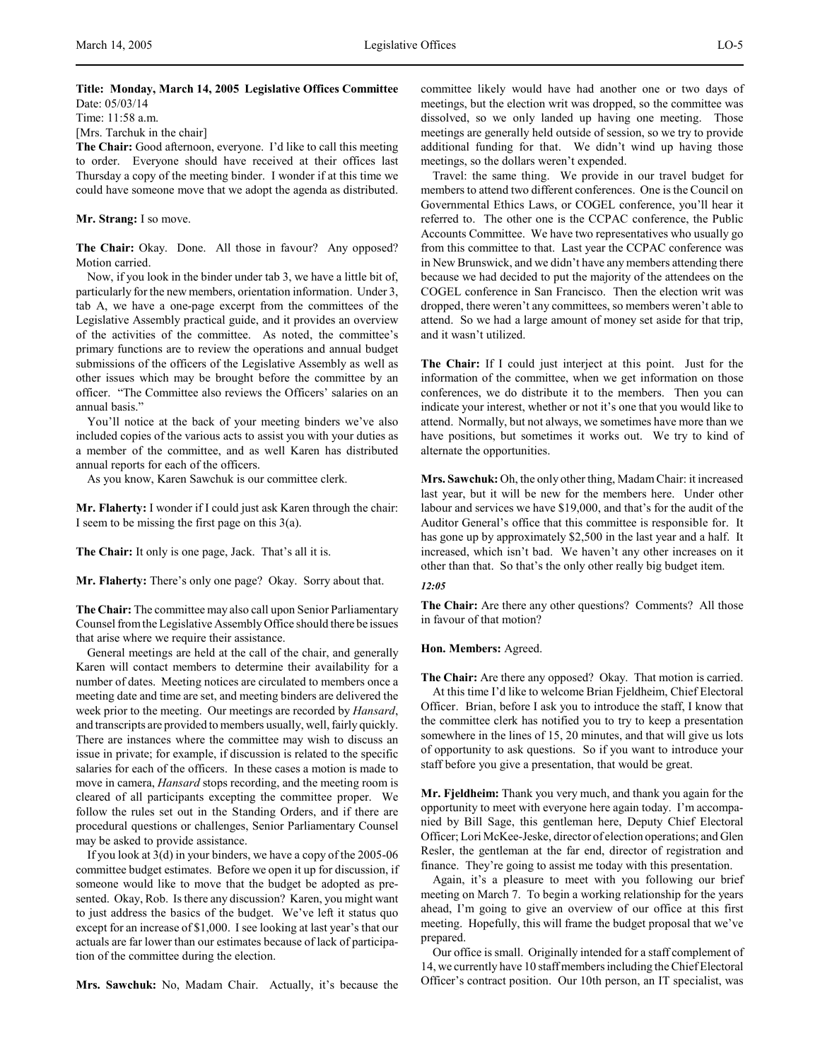# **Title: Monday, March 14, 2005 Legislative Offices Committee** Date: 05/03/14

Time: 11:58 a.m.

[Mrs. Tarchuk in the chair]

**The Chair:** Good afternoon, everyone. I'd like to call this meeting to order. Everyone should have received at their offices last Thursday a copy of the meeting binder. I wonder if at this time we could have someone move that we adopt the agenda as distributed.

## **Mr. Strang:** I so move.

**The Chair:** Okay. Done. All those in favour? Any opposed? Motion carried.

Now, if you look in the binder under tab 3, we have a little bit of, particularly for the new members, orientation information. Under 3, tab A, we have a one-page excerpt from the committees of the Legislative Assembly practical guide, and it provides an overview of the activities of the committee. As noted, the committee's primary functions are to review the operations and annual budget submissions of the officers of the Legislative Assembly as well as other issues which may be brought before the committee by an officer. "The Committee also reviews the Officers' salaries on an annual basis."

You'll notice at the back of your meeting binders we've also included copies of the various acts to assist you with your duties as a member of the committee, and as well Karen has distributed annual reports for each of the officers.

As you know, Karen Sawchuk is our committee clerk.

**Mr. Flaherty:** I wonder if I could just ask Karen through the chair: I seem to be missing the first page on this 3(a).

**The Chair:** It only is one page, Jack. That's all it is.

**Mr. Flaherty:** There's only one page? Okay. Sorry about that.

**The Chair:** The committee may also call upon Senior Parliamentary Counsel from the Legislative Assembly Office should there be issues that arise where we require their assistance.

General meetings are held at the call of the chair, and generally Karen will contact members to determine their availability for a number of dates. Meeting notices are circulated to members once a meeting date and time are set, and meeting binders are delivered the week prior to the meeting. Our meetings are recorded by *Hansard*, and transcripts are provided to members usually, well, fairly quickly. There are instances where the committee may wish to discuss an issue in private; for example, if discussion is related to the specific salaries for each of the officers. In these cases a motion is made to move in camera, *Hansard* stops recording, and the meeting room is cleared of all participants excepting the committee proper. We follow the rules set out in the Standing Orders, and if there are procedural questions or challenges, Senior Parliamentary Counsel may be asked to provide assistance.

If you look at 3(d) in your binders, we have a copy of the 2005-06 committee budget estimates. Before we open it up for discussion, if someone would like to move that the budget be adopted as presented. Okay, Rob. Is there any discussion? Karen, you might want to just address the basics of the budget. We've left it status quo except for an increase of \$1,000. I see looking at last year's that our actuals are far lower than our estimates because of lack of participation of the committee during the election.

**Mrs. Sawchuk:** No, Madam Chair. Actually, it's because the

committee likely would have had another one or two days of meetings, but the election writ was dropped, so the committee was dissolved, so we only landed up having one meeting. Those meetings are generally held outside of session, so we try to provide additional funding for that. We didn't wind up having those meetings, so the dollars weren't expended.

Travel: the same thing. We provide in our travel budget for members to attend two different conferences. One is the Council on Governmental Ethics Laws, or COGEL conference, you'll hear it referred to. The other one is the CCPAC conference, the Public Accounts Committee. We have two representatives who usually go from this committee to that. Last year the CCPAC conference was in New Brunswick, and we didn't have any members attending there because we had decided to put the majority of the attendees on the COGEL conference in San Francisco. Then the election writ was dropped, there weren't any committees, so members weren't able to attend. So we had a large amount of money set aside for that trip, and it wasn't utilized.

**The Chair:** If I could just interject at this point. Just for the information of the committee, when we get information on those conferences, we do distribute it to the members. Then you can indicate your interest, whether or not it's one that you would like to attend. Normally, but not always, we sometimes have more than we have positions, but sometimes it works out. We try to kind of alternate the opportunities.

**Mrs. Sawchuk:** Oh, the only other thing, Madam Chair: it increased last year, but it will be new for the members here. Under other labour and services we have \$19,000, and that's for the audit of the Auditor General's office that this committee is responsible for. It has gone up by approximately \$2,500 in the last year and a half. It increased, which isn't bad. We haven't any other increases on it other than that. So that's the only other really big budget item.

#### *12:05*

**The Chair:** Are there any other questions? Comments? All those in favour of that motion?

#### **Hon. Members:** Agreed.

**The Chair:** Are there any opposed? Okay. That motion is carried. At this time I'd like to welcome Brian Fjeldheim, Chief Electoral Officer. Brian, before I ask you to introduce the staff, I know that the committee clerk has notified you to try to keep a presentation somewhere in the lines of 15, 20 minutes, and that will give us lots of opportunity to ask questions. So if you want to introduce your staff before you give a presentation, that would be great.

**Mr. Fjeldheim:** Thank you very much, and thank you again for the opportunity to meet with everyone here again today. I'm accompanied by Bill Sage, this gentleman here, Deputy Chief Electoral Officer; Lori McKee-Jeske, director of election operations; and Glen Resler, the gentleman at the far end, director of registration and finance. They're going to assist me today with this presentation.

Again, it's a pleasure to meet with you following our brief meeting on March 7. To begin a working relationship for the years ahead, I'm going to give an overview of our office at this first meeting. Hopefully, this will frame the budget proposal that we've prepared.

Our office is small. Originally intended for a staff complement of 14, we currently have 10 staff members including the Chief Electoral Officer's contract position. Our 10th person, an IT specialist, was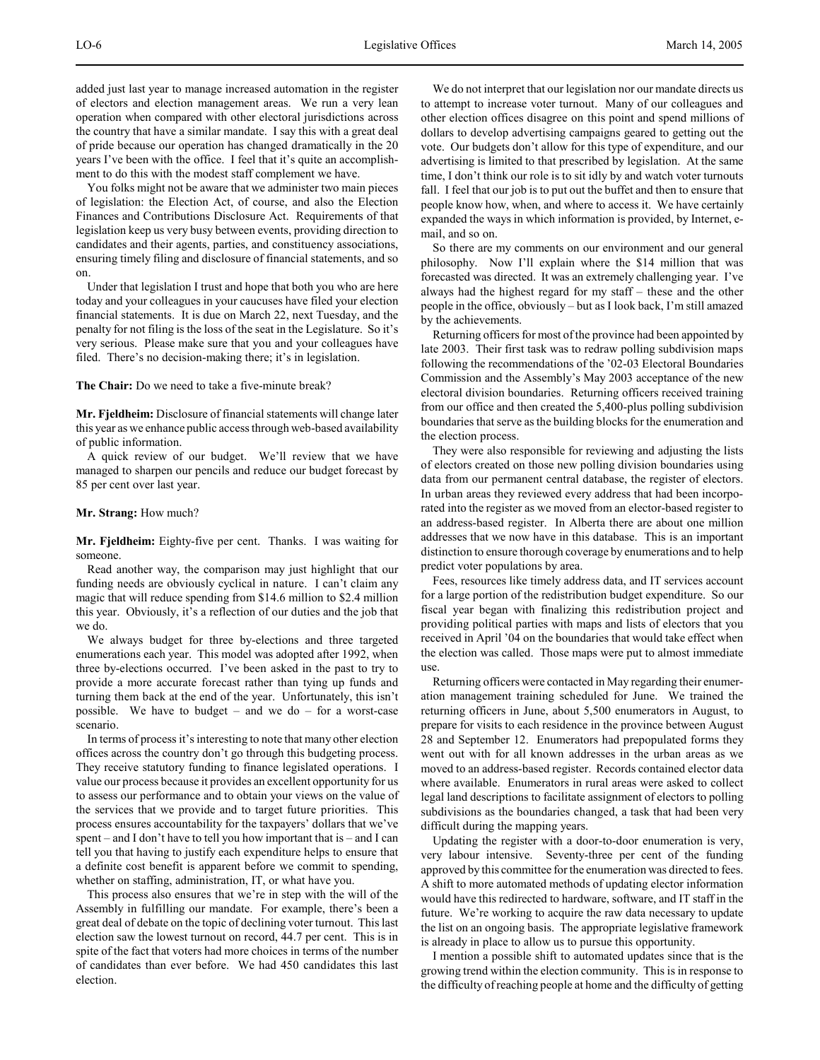added just last year to manage increased automation in the register of electors and election management areas. We run a very lean operation when compared with other electoral jurisdictions across the country that have a similar mandate. I say this with a great deal of pride because our operation has changed dramatically in the 20 years I've been with the office. I feel that it's quite an accomplishment to do this with the modest staff complement we have.

You folks might not be aware that we administer two main pieces of legislation: the Election Act, of course, and also the Election Finances and Contributions Disclosure Act. Requirements of that legislation keep us very busy between events, providing direction to candidates and their agents, parties, and constituency associations, ensuring timely filing and disclosure of financial statements, and so on.

Under that legislation I trust and hope that both you who are here today and your colleagues in your caucuses have filed your election financial statements. It is due on March 22, next Tuesday, and the penalty for not filing is the loss of the seat in the Legislature. So it's very serious. Please make sure that you and your colleagues have filed. There's no decision-making there; it's in legislation.

**The Chair:** Do we need to take a five-minute break?

**Mr. Fjeldheim:** Disclosure of financial statements will change later this year as we enhance public access through web-based availability of public information.

A quick review of our budget. We'll review that we have managed to sharpen our pencils and reduce our budget forecast by 85 per cent over last year.

## **Mr. Strang:** How much?

**Mr. Fjeldheim:** Eighty-five per cent. Thanks. I was waiting for someone.

Read another way, the comparison may just highlight that our funding needs are obviously cyclical in nature. I can't claim any magic that will reduce spending from \$14.6 million to \$2.4 million this year. Obviously, it's a reflection of our duties and the job that we do.

We always budget for three by-elections and three targeted enumerations each year. This model was adopted after 1992, when three by-elections occurred. I've been asked in the past to try to provide a more accurate forecast rather than tying up funds and turning them back at the end of the year. Unfortunately, this isn't possible. We have to budget – and we do – for a worst-case scenario.

In terms of process it's interesting to note that many other election offices across the country don't go through this budgeting process. They receive statutory funding to finance legislated operations. I value our process because it provides an excellent opportunity for us to assess our performance and to obtain your views on the value of the services that we provide and to target future priorities. This process ensures accountability for the taxpayers' dollars that we've spent – and I don't have to tell you how important that is – and I can tell you that having to justify each expenditure helps to ensure that a definite cost benefit is apparent before we commit to spending, whether on staffing, administration, IT, or what have you.

This process also ensures that we're in step with the will of the Assembly in fulfilling our mandate. For example, there's been a great deal of debate on the topic of declining voter turnout. This last election saw the lowest turnout on record, 44.7 per cent. This is in spite of the fact that voters had more choices in terms of the number of candidates than ever before. We had 450 candidates this last election.

We do not interpret that our legislation nor our mandate directs us to attempt to increase voter turnout. Many of our colleagues and other election offices disagree on this point and spend millions of dollars to develop advertising campaigns geared to getting out the vote. Our budgets don't allow for this type of expenditure, and our advertising is limited to that prescribed by legislation. At the same time, I don't think our role is to sit idly by and watch voter turnouts fall. I feel that our job is to put out the buffet and then to ensure that people know how, when, and where to access it. We have certainly expanded the ways in which information is provided, by Internet, email, and so on.

So there are my comments on our environment and our general philosophy. Now I'll explain where the \$14 million that was forecasted was directed. It was an extremely challenging year. I've always had the highest regard for my staff – these and the other people in the office, obviously – but as I look back, I'm still amazed by the achievements.

Returning officers for most of the province had been appointed by late 2003. Their first task was to redraw polling subdivision maps following the recommendations of the '02-03 Electoral Boundaries Commission and the Assembly's May 2003 acceptance of the new electoral division boundaries. Returning officers received training from our office and then created the 5,400-plus polling subdivision boundaries that serve as the building blocks for the enumeration and the election process.

They were also responsible for reviewing and adjusting the lists of electors created on those new polling division boundaries using data from our permanent central database, the register of electors. In urban areas they reviewed every address that had been incorporated into the register as we moved from an elector-based register to an address-based register. In Alberta there are about one million addresses that we now have in this database. This is an important distinction to ensure thorough coverage by enumerations and to help predict voter populations by area.

Fees, resources like timely address data, and IT services account for a large portion of the redistribution budget expenditure. So our fiscal year began with finalizing this redistribution project and providing political parties with maps and lists of electors that you received in April '04 on the boundaries that would take effect when the election was called. Those maps were put to almost immediate use.

Returning officers were contacted in May regarding their enumeration management training scheduled for June. We trained the returning officers in June, about 5,500 enumerators in August, to prepare for visits to each residence in the province between August 28 and September 12. Enumerators had prepopulated forms they went out with for all known addresses in the urban areas as we moved to an address-based register. Records contained elector data where available. Enumerators in rural areas were asked to collect legal land descriptions to facilitate assignment of electors to polling subdivisions as the boundaries changed, a task that had been very difficult during the mapping years.

Updating the register with a door-to-door enumeration is very, very labour intensive. Seventy-three per cent of the funding approved by this committee for the enumeration was directed to fees. A shift to more automated methods of updating elector information would have this redirected to hardware, software, and IT staff in the future. We're working to acquire the raw data necessary to update the list on an ongoing basis. The appropriate legislative framework is already in place to allow us to pursue this opportunity.

I mention a possible shift to automated updates since that is the growing trend within the election community. This is in response to the difficulty of reaching people at home and the difficulty of getting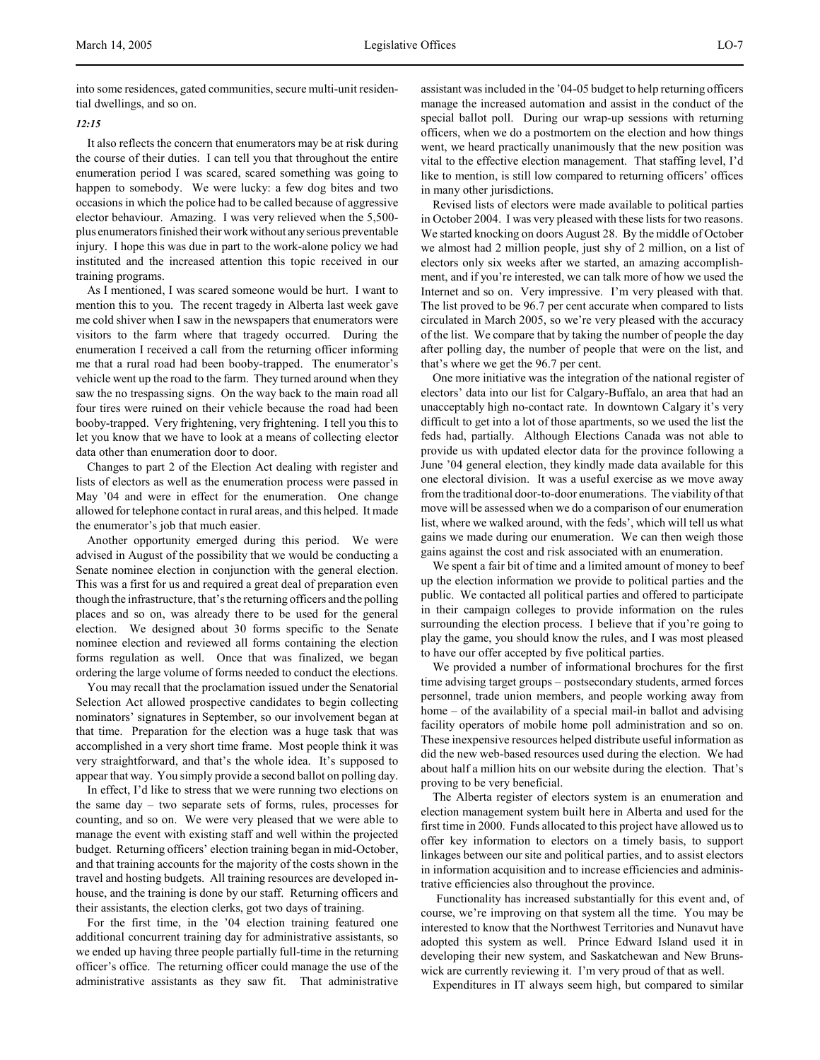into some residences, gated communities, secure multi-unit residential dwellings, and so on.

## *12:15*

It also reflects the concern that enumerators may be at risk during the course of their duties. I can tell you that throughout the entire enumeration period I was scared, scared something was going to happen to somebody. We were lucky: a few dog bites and two occasions in which the police had to be called because of aggressive elector behaviour. Amazing. I was very relieved when the 5,500 plus enumerators finished their work without any serious preventable injury. I hope this was due in part to the work-alone policy we had instituted and the increased attention this topic received in our training programs.

As I mentioned, I was scared someone would be hurt. I want to mention this to you. The recent tragedy in Alberta last week gave me cold shiver when I saw in the newspapers that enumerators were visitors to the farm where that tragedy occurred. During the enumeration I received a call from the returning officer informing me that a rural road had been booby-trapped. The enumerator's vehicle went up the road to the farm. They turned around when they saw the no trespassing signs. On the way back to the main road all four tires were ruined on their vehicle because the road had been booby-trapped. Very frightening, very frightening. I tell you this to let you know that we have to look at a means of collecting elector data other than enumeration door to door.

Changes to part 2 of the Election Act dealing with register and lists of electors as well as the enumeration process were passed in May '04 and were in effect for the enumeration. One change allowed for telephone contact in rural areas, and this helped. It made the enumerator's job that much easier.

Another opportunity emerged during this period. We were advised in August of the possibility that we would be conducting a Senate nominee election in conjunction with the general election. This was a first for us and required a great deal of preparation even though the infrastructure, that's the returning officers and the polling places and so on, was already there to be used for the general election. We designed about 30 forms specific to the Senate nominee election and reviewed all forms containing the election forms regulation as well. Once that was finalized, we began ordering the large volume of forms needed to conduct the elections.

You may recall that the proclamation issued under the Senatorial Selection Act allowed prospective candidates to begin collecting nominators' signatures in September, so our involvement began at that time. Preparation for the election was a huge task that was accomplished in a very short time frame. Most people think it was very straightforward, and that's the whole idea. It's supposed to appear that way. You simply provide a second ballot on polling day.

In effect, I'd like to stress that we were running two elections on the same day – two separate sets of forms, rules, processes for counting, and so on. We were very pleased that we were able to manage the event with existing staff and well within the projected budget. Returning officers' election training began in mid-October, and that training accounts for the majority of the costs shown in the travel and hosting budgets. All training resources are developed inhouse, and the training is done by our staff. Returning officers and their assistants, the election clerks, got two days of training.

For the first time, in the '04 election training featured one additional concurrent training day for administrative assistants, so we ended up having three people partially full-time in the returning officer's office. The returning officer could manage the use of the administrative assistants as they saw fit. That administrative

assistant was included in the '04-05 budget to help returning officers manage the increased automation and assist in the conduct of the special ballot poll. During our wrap-up sessions with returning officers, when we do a postmortem on the election and how things went, we heard practically unanimously that the new position was vital to the effective election management. That staffing level, I'd like to mention, is still low compared to returning officers' offices in many other jurisdictions.

Revised lists of electors were made available to political parties in October 2004. I was very pleased with these lists for two reasons. We started knocking on doors August 28. By the middle of October we almost had 2 million people, just shy of 2 million, on a list of electors only six weeks after we started, an amazing accomplishment, and if you're interested, we can talk more of how we used the Internet and so on. Very impressive. I'm very pleased with that. The list proved to be 96.7 per cent accurate when compared to lists circulated in March 2005, so we're very pleased with the accuracy of the list. We compare that by taking the number of people the day after polling day, the number of people that were on the list, and that's where we get the 96.7 per cent.

One more initiative was the integration of the national register of electors' data into our list for Calgary-Buffalo, an area that had an unacceptably high no-contact rate. In downtown Calgary it's very difficult to get into a lot of those apartments, so we used the list the feds had, partially. Although Elections Canada was not able to provide us with updated elector data for the province following a June '04 general election, they kindly made data available for this one electoral division. It was a useful exercise as we move away from the traditional door-to-door enumerations. The viability of that move will be assessed when we do a comparison of our enumeration list, where we walked around, with the feds', which will tell us what gains we made during our enumeration. We can then weigh those gains against the cost and risk associated with an enumeration.

We spent a fair bit of time and a limited amount of money to beef up the election information we provide to political parties and the public. We contacted all political parties and offered to participate in their campaign colleges to provide information on the rules surrounding the election process. I believe that if you're going to play the game, you should know the rules, and I was most pleased to have our offer accepted by five political parties.

We provided a number of informational brochures for the first time advising target groups – postsecondary students, armed forces personnel, trade union members, and people working away from home – of the availability of a special mail-in ballot and advising facility operators of mobile home poll administration and so on. These inexpensive resources helped distribute useful information as did the new web-based resources used during the election. We had about half a million hits on our website during the election. That's proving to be very beneficial.

The Alberta register of electors system is an enumeration and election management system built here in Alberta and used for the first time in 2000. Funds allocated to this project have allowed us to offer key information to electors on a timely basis, to support linkages between our site and political parties, and to assist electors in information acquisition and to increase efficiencies and administrative efficiencies also throughout the province.

 Functionality has increased substantially for this event and, of course, we're improving on that system all the time. You may be interested to know that the Northwest Territories and Nunavut have adopted this system as well. Prince Edward Island used it in developing their new system, and Saskatchewan and New Brunswick are currently reviewing it. I'm very proud of that as well.

Expenditures in IT always seem high, but compared to similar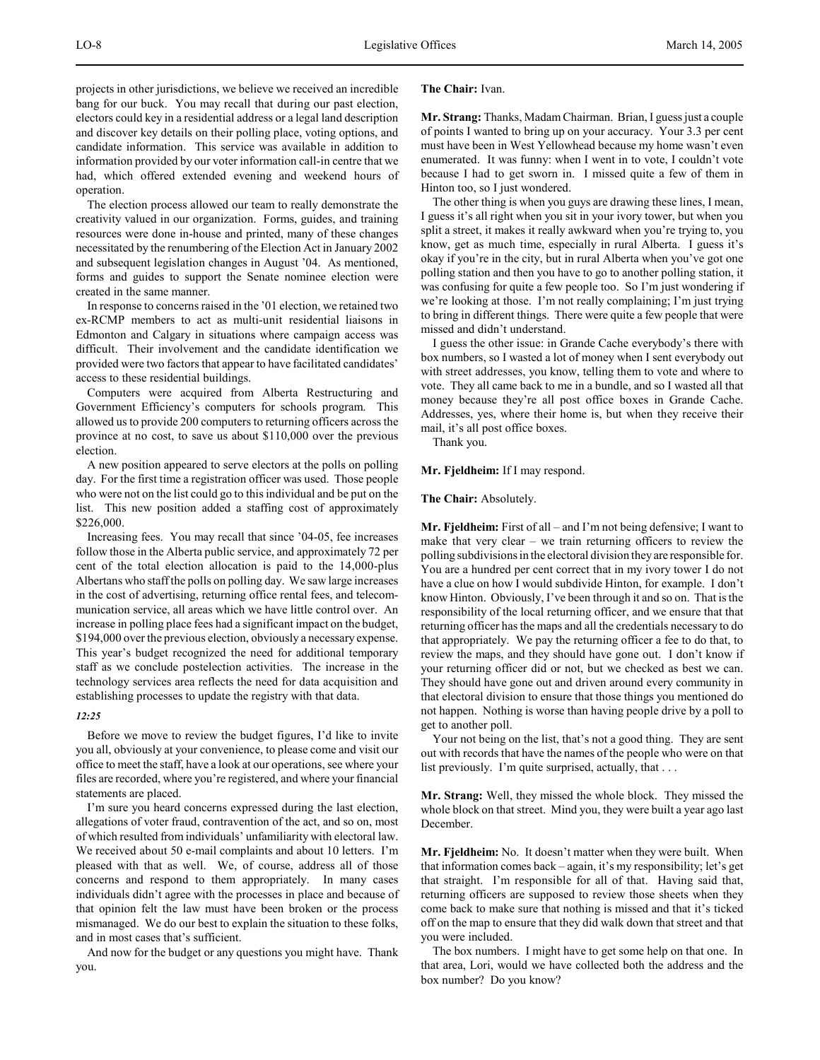projects in other jurisdictions, we believe we received an incredible bang for our buck. You may recall that during our past election, electors could key in a residential address or a legal land description and discover key details on their polling place, voting options, and candidate information. This service was available in addition to information provided by our voter information call-in centre that we had, which offered extended evening and weekend hours of operation.

The election process allowed our team to really demonstrate the creativity valued in our organization. Forms, guides, and training resources were done in-house and printed, many of these changes necessitated by the renumbering of the Election Act in January 2002 and subsequent legislation changes in August '04. As mentioned, forms and guides to support the Senate nominee election were created in the same manner.

In response to concerns raised in the '01 election, we retained two ex-RCMP members to act as multi-unit residential liaisons in Edmonton and Calgary in situations where campaign access was difficult. Their involvement and the candidate identification we provided were two factors that appear to have facilitated candidates' access to these residential buildings.

Computers were acquired from Alberta Restructuring and Government Efficiency's computers for schools program. This allowed us to provide 200 computers to returning officers across the province at no cost, to save us about \$110,000 over the previous election.

A new position appeared to serve electors at the polls on polling day. For the first time a registration officer was used. Those people who were not on the list could go to this individual and be put on the list. This new position added a staffing cost of approximately \$226,000.

Increasing fees. You may recall that since '04-05, fee increases follow those in the Alberta public service, and approximately 72 per cent of the total election allocation is paid to the 14,000-plus Albertans who staff the polls on polling day. We saw large increases in the cost of advertising, returning office rental fees, and telecommunication service, all areas which we have little control over. An increase in polling place fees had a significant impact on the budget, \$194,000 over the previous election, obviously a necessary expense. This year's budget recognized the need for additional temporary staff as we conclude postelection activities. The increase in the technology services area reflects the need for data acquisition and establishing processes to update the registry with that data.

#### *12:25*

Before we move to review the budget figures, I'd like to invite you all, obviously at your convenience, to please come and visit our office to meet the staff, have a look at our operations, see where your files are recorded, where you're registered, and where your financial statements are placed.

I'm sure you heard concerns expressed during the last election, allegations of voter fraud, contravention of the act, and so on, most of which resulted from individuals' unfamiliarity with electoral law. We received about 50 e-mail complaints and about 10 letters. I'm pleased with that as well. We, of course, address all of those concerns and respond to them appropriately. In many cases individuals didn't agree with the processes in place and because of that opinion felt the law must have been broken or the process mismanaged. We do our best to explain the situation to these folks, and in most cases that's sufficient.

And now for the budget or any questions you might have. Thank you.

## **The Chair:** Ivan.

**Mr. Strang:** Thanks, Madam Chairman. Brian, I guess just a couple of points I wanted to bring up on your accuracy. Your 3.3 per cent must have been in West Yellowhead because my home wasn't even enumerated. It was funny: when I went in to vote, I couldn't vote because I had to get sworn in. I missed quite a few of them in Hinton too, so I just wondered.

The other thing is when you guys are drawing these lines, I mean, I guess it's all right when you sit in your ivory tower, but when you split a street, it makes it really awkward when you're trying to, you know, get as much time, especially in rural Alberta. I guess it's okay if you're in the city, but in rural Alberta when you've got one polling station and then you have to go to another polling station, it was confusing for quite a few people too. So I'm just wondering if we're looking at those. I'm not really complaining; I'm just trying to bring in different things. There were quite a few people that were missed and didn't understand.

I guess the other issue: in Grande Cache everybody's there with box numbers, so I wasted a lot of money when I sent everybody out with street addresses, you know, telling them to vote and where to vote. They all came back to me in a bundle, and so I wasted all that money because they're all post office boxes in Grande Cache. Addresses, yes, where their home is, but when they receive their mail, it's all post office boxes.

Thank you.

## **Mr. Fjeldheim:** If I may respond.

**The Chair:** Absolutely.

**Mr. Fjeldheim:** First of all – and I'm not being defensive; I want to make that very clear – we train returning officers to review the polling subdivisions in the electoral division they are responsible for. You are a hundred per cent correct that in my ivory tower I do not have a clue on how I would subdivide Hinton, for example. I don't know Hinton. Obviously, I've been through it and so on. That is the responsibility of the local returning officer, and we ensure that that returning officer has the maps and all the credentials necessary to do that appropriately. We pay the returning officer a fee to do that, to review the maps, and they should have gone out. I don't know if your returning officer did or not, but we checked as best we can. They should have gone out and driven around every community in that electoral division to ensure that those things you mentioned do not happen. Nothing is worse than having people drive by a poll to get to another poll.

Your not being on the list, that's not a good thing. They are sent out with records that have the names of the people who were on that list previously. I'm quite surprised, actually, that . . .

**Mr. Strang:** Well, they missed the whole block. They missed the whole block on that street. Mind you, they were built a year ago last December.

**Mr. Fjeldheim:** No. It doesn't matter when they were built. When that information comes back – again, it's my responsibility; let's get that straight. I'm responsible for all of that. Having said that, returning officers are supposed to review those sheets when they come back to make sure that nothing is missed and that it's ticked off on the map to ensure that they did walk down that street and that you were included.

The box numbers. I might have to get some help on that one. In that area, Lori, would we have collected both the address and the box number? Do you know?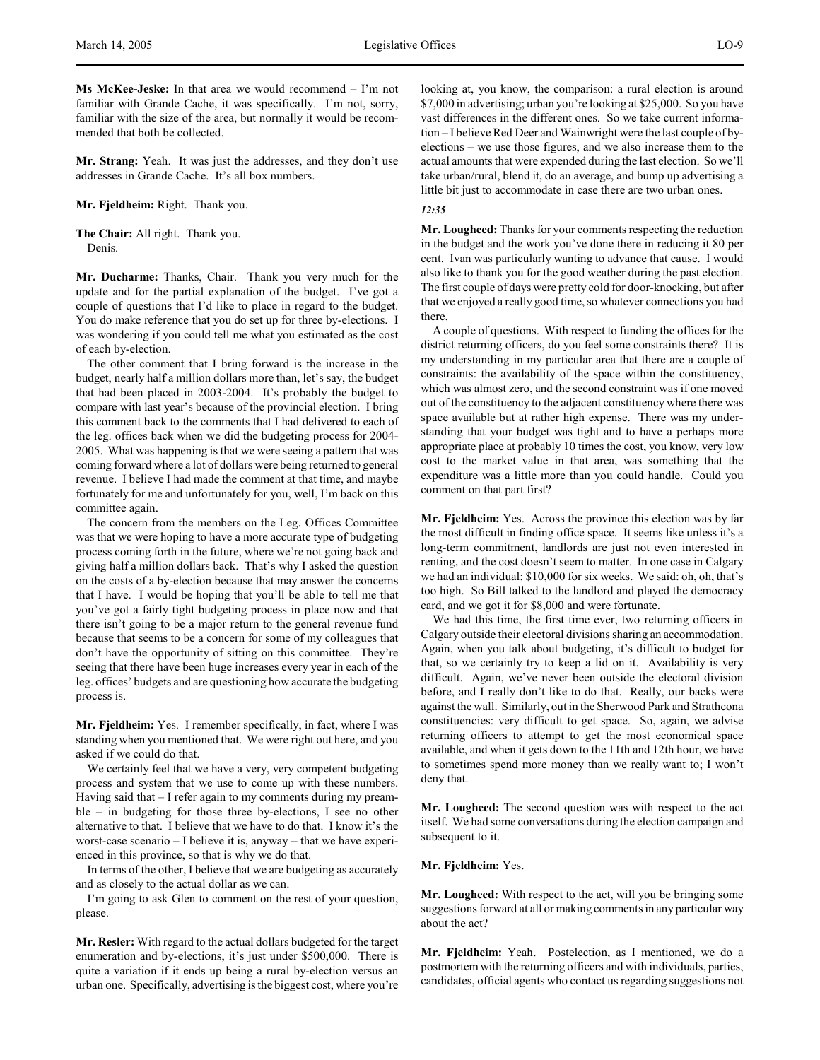**Ms McKee-Jeske:** In that area we would recommend – I'm not familiar with Grande Cache, it was specifically. I'm not, sorry, familiar with the size of the area, but normally it would be recommended that both be collected.

**Mr. Strang:** Yeah. It was just the addresses, and they don't use addresses in Grande Cache. It's all box numbers.

#### **Mr. Fjeldheim:** Right. Thank you.

**The Chair:** All right. Thank you. Denis.

**Mr. Ducharme:** Thanks, Chair. Thank you very much for the update and for the partial explanation of the budget. I've got a couple of questions that I'd like to place in regard to the budget. You do make reference that you do set up for three by-elections. I was wondering if you could tell me what you estimated as the cost of each by-election.

The other comment that I bring forward is the increase in the budget, nearly half a million dollars more than, let's say, the budget that had been placed in 2003-2004. It's probably the budget to compare with last year's because of the provincial election. I bring this comment back to the comments that I had delivered to each of the leg. offices back when we did the budgeting process for 2004- 2005. What was happening is that we were seeing a pattern that was coming forward where a lot of dollars were being returned to general revenue. I believe I had made the comment at that time, and maybe fortunately for me and unfortunately for you, well, I'm back on this committee again.

The concern from the members on the Leg. Offices Committee was that we were hoping to have a more accurate type of budgeting process coming forth in the future, where we're not going back and giving half a million dollars back. That's why I asked the question on the costs of a by-election because that may answer the concerns that I have. I would be hoping that you'll be able to tell me that you've got a fairly tight budgeting process in place now and that there isn't going to be a major return to the general revenue fund because that seems to be a concern for some of my colleagues that don't have the opportunity of sitting on this committee. They're seeing that there have been huge increases every year in each of the leg. offices' budgets and are questioning how accurate the budgeting process is.

**Mr. Fjeldheim:** Yes. I remember specifically, in fact, where I was standing when you mentioned that. We were right out here, and you asked if we could do that.

We certainly feel that we have a very, very competent budgeting process and system that we use to come up with these numbers. Having said that – I refer again to my comments during my preamble – in budgeting for those three by-elections, I see no other alternative to that. I believe that we have to do that. I know it's the worst-case scenario – I believe it is, anyway – that we have experienced in this province, so that is why we do that.

In terms of the other, I believe that we are budgeting as accurately and as closely to the actual dollar as we can.

I'm going to ask Glen to comment on the rest of your question, please.

**Mr. Resler:** With regard to the actual dollars budgeted for the target enumeration and by-elections, it's just under \$500,000. There is quite a variation if it ends up being a rural by-election versus an urban one. Specifically, advertising is the biggest cost, where you're

looking at, you know, the comparison: a rural election is around \$7,000 in advertising; urban you're looking at \$25,000. So you have vast differences in the different ones. So we take current information – I believe Red Deer and Wainwright were the last couple of byelections – we use those figures, and we also increase them to the actual amounts that were expended during the last election. So we'll take urban/rural, blend it, do an average, and bump up advertising a little bit just to accommodate in case there are two urban ones.

## *12:35*

**Mr. Lougheed:** Thanks for your comments respecting the reduction in the budget and the work you've done there in reducing it 80 per cent. Ivan was particularly wanting to advance that cause. I would also like to thank you for the good weather during the past election. The first couple of days were pretty cold for door-knocking, but after that we enjoyed a really good time, so whatever connections you had there.

A couple of questions. With respect to funding the offices for the district returning officers, do you feel some constraints there? It is my understanding in my particular area that there are a couple of constraints: the availability of the space within the constituency, which was almost zero, and the second constraint was if one moved out of the constituency to the adjacent constituency where there was space available but at rather high expense. There was my understanding that your budget was tight and to have a perhaps more appropriate place at probably 10 times the cost, you know, very low cost to the market value in that area, was something that the expenditure was a little more than you could handle. Could you comment on that part first?

**Mr. Fjeldheim:** Yes. Across the province this election was by far the most difficult in finding office space. It seems like unless it's a long-term commitment, landlords are just not even interested in renting, and the cost doesn't seem to matter. In one case in Calgary we had an individual: \$10,000 for six weeks. We said: oh, oh, that's too high. So Bill talked to the landlord and played the democracy card, and we got it for \$8,000 and were fortunate.

We had this time, the first time ever, two returning officers in Calgary outside their electoral divisions sharing an accommodation. Again, when you talk about budgeting, it's difficult to budget for that, so we certainly try to keep a lid on it. Availability is very difficult. Again, we've never been outside the electoral division before, and I really don't like to do that. Really, our backs were against the wall. Similarly, out in the Sherwood Park and Strathcona constituencies: very difficult to get space. So, again, we advise returning officers to attempt to get the most economical space available, and when it gets down to the 11th and 12th hour, we have to sometimes spend more money than we really want to; I won't deny that.

**Mr. Lougheed:** The second question was with respect to the act itself. We had some conversations during the election campaign and subsequent to it.

#### **Mr. Fjeldheim:** Yes.

**Mr. Lougheed:** With respect to the act, will you be bringing some suggestions forward at all or making comments in any particular way about the act?

**Mr. Fjeldheim:** Yeah. Postelection, as I mentioned, we do a postmortem with the returning officers and with individuals, parties, candidates, official agents who contact us regarding suggestions not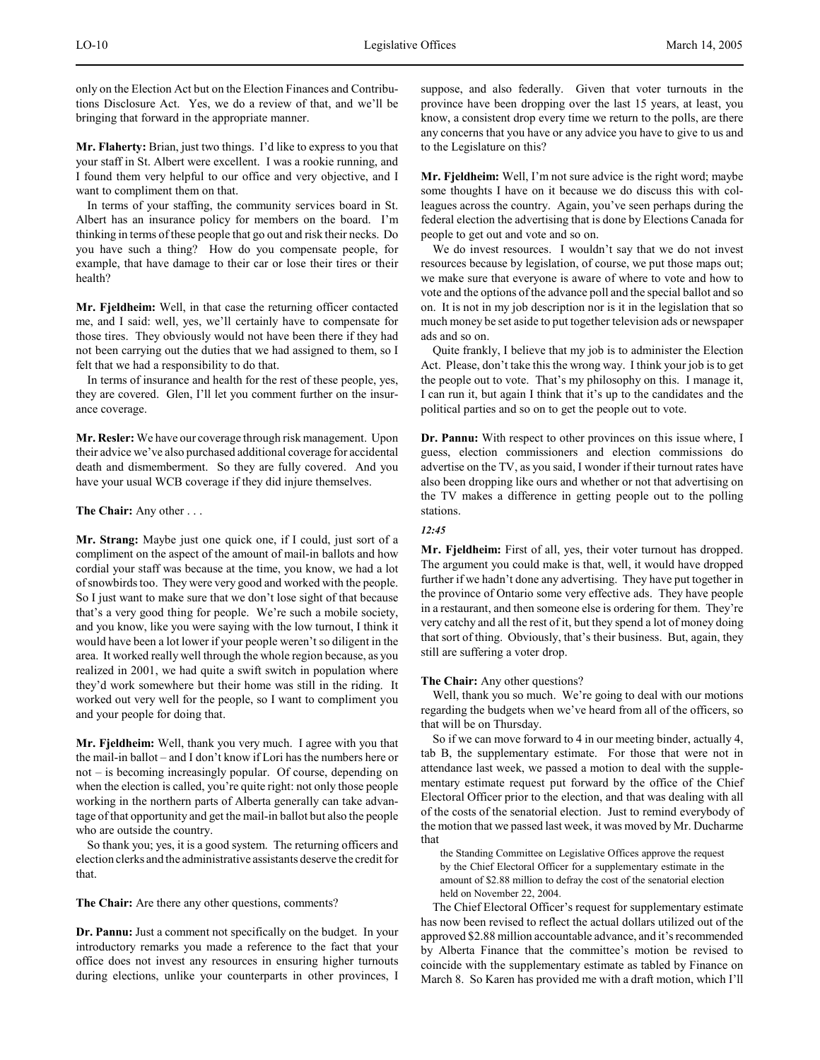only on the Election Act but on the Election Finances and Contributions Disclosure Act. Yes, we do a review of that, and we'll be bringing that forward in the appropriate manner.

**Mr. Flaherty:** Brian, just two things. I'd like to express to you that your staff in St. Albert were excellent. I was a rookie running, and I found them very helpful to our office and very objective, and I want to compliment them on that.

In terms of your staffing, the community services board in St. Albert has an insurance policy for members on the board. I'm thinking in terms of these people that go out and risk their necks. Do you have such a thing? How do you compensate people, for example, that have damage to their car or lose their tires or their health?

**Mr. Fjeldheim:** Well, in that case the returning officer contacted me, and I said: well, yes, we'll certainly have to compensate for those tires. They obviously would not have been there if they had not been carrying out the duties that we had assigned to them, so I felt that we had a responsibility to do that.

In terms of insurance and health for the rest of these people, yes, they are covered. Glen, I'll let you comment further on the insurance coverage.

**Mr. Resler:** We have our coverage through risk management. Upon their advice we've also purchased additional coverage for accidental death and dismemberment. So they are fully covered. And you have your usual WCB coverage if they did injure themselves.

## **The Chair:** Any other . . .

**Mr. Strang:** Maybe just one quick one, if I could, just sort of a compliment on the aspect of the amount of mail-in ballots and how cordial your staff was because at the time, you know, we had a lot of snowbirds too. They were very good and worked with the people. So I just want to make sure that we don't lose sight of that because that's a very good thing for people. We're such a mobile society, and you know, like you were saying with the low turnout, I think it would have been a lot lower if your people weren't so diligent in the area. It worked really well through the whole region because, as you realized in 2001, we had quite a swift switch in population where they'd work somewhere but their home was still in the riding. It worked out very well for the people, so I want to compliment you and your people for doing that.

**Mr. Fjeldheim:** Well, thank you very much. I agree with you that the mail-in ballot – and I don't know if Lori has the numbers here or not – is becoming increasingly popular. Of course, depending on when the election is called, you're quite right: not only those people working in the northern parts of Alberta generally can take advantage of that opportunity and get the mail-in ballot but also the people who are outside the country.

So thank you; yes, it is a good system. The returning officers and election clerks and the administrative assistants deserve the credit for that.

**The Chair:** Are there any other questions, comments?

**Dr. Pannu:** Just a comment not specifically on the budget. In your introductory remarks you made a reference to the fact that your office does not invest any resources in ensuring higher turnouts during elections, unlike your counterparts in other provinces, I

suppose, and also federally. Given that voter turnouts in the province have been dropping over the last 15 years, at least, you know, a consistent drop every time we return to the polls, are there any concerns that you have or any advice you have to give to us and to the Legislature on this?

**Mr. Fjeldheim:** Well, I'm not sure advice is the right word; maybe some thoughts I have on it because we do discuss this with colleagues across the country. Again, you've seen perhaps during the federal election the advertising that is done by Elections Canada for people to get out and vote and so on.

We do invest resources. I wouldn't say that we do not invest resources because by legislation, of course, we put those maps out; we make sure that everyone is aware of where to vote and how to vote and the options of the advance poll and the special ballot and so on. It is not in my job description nor is it in the legislation that so much money be set aside to put together television ads or newspaper ads and so on.

Quite frankly, I believe that my job is to administer the Election Act. Please, don't take this the wrong way. I think your job is to get the people out to vote. That's my philosophy on this. I manage it, I can run it, but again I think that it's up to the candidates and the political parties and so on to get the people out to vote.

**Dr. Pannu:** With respect to other provinces on this issue where, I guess, election commissioners and election commissions do advertise on the TV, as you said, I wonder if their turnout rates have also been dropping like ours and whether or not that advertising on the TV makes a difference in getting people out to the polling stations.

# *12:45*

**Mr. Fjeldheim:** First of all, yes, their voter turnout has dropped. The argument you could make is that, well, it would have dropped further if we hadn't done any advertising. They have put together in the province of Ontario some very effective ads. They have people in a restaurant, and then someone else is ordering for them. They're very catchy and all the rest of it, but they spend a lot of money doing that sort of thing. Obviously, that's their business. But, again, they still are suffering a voter drop.

# **The Chair:** Any other questions?

Well, thank you so much. We're going to deal with our motions regarding the budgets when we've heard from all of the officers, so that will be on Thursday.

So if we can move forward to 4 in our meeting binder, actually 4, tab B, the supplementary estimate. For those that were not in attendance last week, we passed a motion to deal with the supplementary estimate request put forward by the office of the Chief Electoral Officer prior to the election, and that was dealing with all of the costs of the senatorial election. Just to remind everybody of the motion that we passed last week, it was moved by Mr. Ducharme that

the Standing Committee on Legislative Offices approve the request by the Chief Electoral Officer for a supplementary estimate in the amount of \$2.88 million to defray the cost of the senatorial election held on November 22, 2004.

The Chief Electoral Officer's request for supplementary estimate has now been revised to reflect the actual dollars utilized out of the approved \$2.88 million accountable advance, and it's recommended by Alberta Finance that the committee's motion be revised to coincide with the supplementary estimate as tabled by Finance on March 8. So Karen has provided me with a draft motion, which I'll